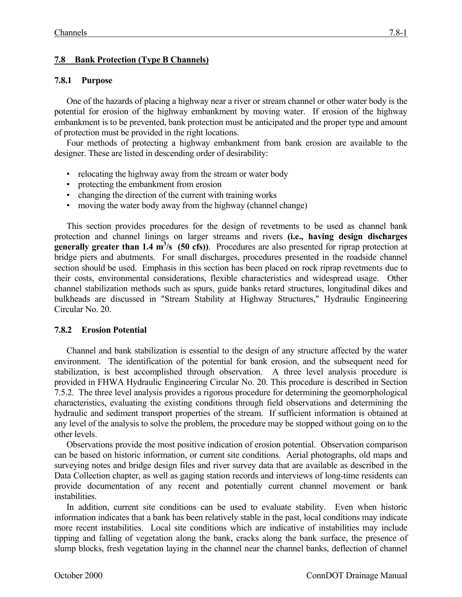# **7.8 Bank Protection (Type B Channels)**

### **7.8.1 Purpose**

One of the hazards of placing a highway near a river or stream channel or other water body is the potential for erosion of the highway embankment by moving water. If erosion of the highway embankment is to be prevented, bank protection must be anticipated and the proper type and amount of protection must be provided in the right locations.

Four methods of protecting a highway embankment from bank erosion are available to the designer. These are listed in descending order of desirability:

- relocating the highway away from the stream or water body
- protecting the embankment from erosion
- changing the direction of the current with training works
- moving the water body away from the highway (channel change)

This section provides procedures for the design of revetments to be used as channel bank protection and channel linings on larger streams and rivers **(i.e., having design discharges generally greater than 1.4 m<sup>3</sup>/s (50 cfs)**). Procedures are also presented for riprap protection at bridge piers and abutments. For small discharges, procedures presented in the roadside channel section should be used. Emphasis in this section has been placed on rock riprap revetments due to their costs, environmental considerations, flexible characteristics and widespread usage. Other channel stabilization methods such as spurs, guide banks retard structures, longitudinal dikes and bulkheads are discussed in "Stream Stability at Highway Structures," Hydraulic Engineering Circular No. 20.

### **7.8.2 Erosion Potential**

Channel and bank stabilization is essential to the design of any structure affected by the water environment. The identification of the potential for bank erosion, and the subsequent need for stabilization, is best accomplished through observation. A three level analysis procedure is provided in FHWA Hydraulic Engineering Circular No. 20. This procedure is described in Section 7.5.2. The three level analysis provides a rigorous procedure for determining the geomorphological characteristics, evaluating the existing conditions through field observations and determining the hydraulic and sediment transport properties of the stream. If sufficient information is obtained at any level of the analysis to solve the problem, the procedure may be stopped without going on to the other levels.

Observations provide the most positive indication of erosion potential. Observation comparison can be based on historic information, or current site conditions. Aerial photographs, old maps and surveying notes and bridge design files and river survey data that are available as described in the Data Collection chapter, as well as gaging station records and interviews of long-time residents can provide documentation of any recent and potentially current channel movement or bank instabilities.

In addition, current site conditions can be used to evaluate stability. Even when historic information indicates that a bank has been relatively stable in the past, local conditions may indicate more recent instabilities. Local site conditions which are indicative of instabilities may include tipping and falling of vegetation along the bank, cracks along the bank surface, the presence of slump blocks, fresh vegetation laying in the channel near the channel banks, deflection of channel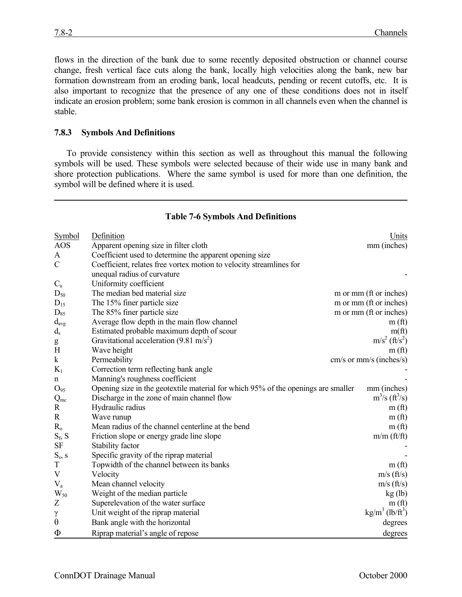flows in the direction of the bank due to some recently deposited obstruction or channel course change, fresh vertical face cuts along the bank, locally high velocities along the bank, new bar formation downstream from an eroding bank, local headcuts, pending or recent cutoffs, etc. It is also important to recognize that the presence of any one of these conditions does not in itself indicate an erosion problem; some bank erosion is common in all channels even when the channel is stable.

#### **7.8.3 Symbols And Definitions**

To provide consistency within this section as well as throughout this manual the following symbols will be used. These symbols were selected because of their wide use in many bank and shore protection publications. Where the same symbol is used for more than one definition, the symbol will be defined where it is used.

| <b>Symbol</b> | Definition                                                                        | Units                                 |  |
|---------------|-----------------------------------------------------------------------------------|---------------------------------------|--|
| <b>AOS</b>    | Apparent opening size in filter cloth                                             | mm (inches)                           |  |
| A             | Coefficient used to determine the apparent opening size                           |                                       |  |
| $\mathcal{C}$ | Coefficient, relates free vortex motion to velocity streamlines for               |                                       |  |
|               | unequal radius of curvature                                                       |                                       |  |
| $C_{\rm u}$   | Uniformity coefficient                                                            |                                       |  |
| $D_{50}$      | The median bed material size                                                      | m or mm (ft or inches)                |  |
| $D_{15}$      | The 15% finer particle size                                                       | m or mm (ft or inches)                |  |
| $D_{85}$      | The 85% finer particle size                                                       | m or mm (ft or inches)                |  |
| $d_{avg}$     | Average flow depth in the main flow channel                                       | m(f <sub>t</sub> )                    |  |
| $d_{s}$       | Estimated probable maximum depth of scour                                         | $m$ (ft)                              |  |
| g             | Gravitational acceleration $(9.81 \text{ m/s}^2)$                                 | $m/s^2$ (ft/s <sup>2</sup> )          |  |
| H             | Wave height                                                                       | m(f <sub>t</sub> )                    |  |
| $\mathbf k$   | Permeability                                                                      | cm/s or mm/s (inches/s)               |  |
| $K_1$         | Correction term reflecting bank angle                                             |                                       |  |
| $\mathbf n$   | Manning's roughness coefficient                                                   |                                       |  |
| $O_{95}$      | Opening size in the geotextile material for which 95% of the openings are smaller | mm (inches)                           |  |
| $Q_{mc}$      | Discharge in the zone of main channel flow                                        | $m^3/s$ (ft <sup>3</sup> /s)          |  |
| $\mathbf R$   | Hydraulic radius                                                                  | m(f <sub>t</sub> )                    |  |
| $\mathbf R$   | Wave runup                                                                        | m(f <sub>t</sub> )                    |  |
| $R_0$         | Mean radius of the channel centerline at the bend                                 | m(f <sub>t</sub> )                    |  |
| $S_f$ , $S$   | Friction slope or energy grade line slope                                         | m/m (ft/ft)                           |  |
| <b>SF</b>     | Stability factor                                                                  |                                       |  |
| $S_s$ , s     | Specific gravity of the riprap material                                           |                                       |  |
| $\mathbf T$   | Topwidth of the channel between its banks                                         | m(f <sub>t</sub> )                    |  |
| V             | Velocity                                                                          | $m/s$ (ft/s)                          |  |
| $\rm V_a$     | Mean channel velocity                                                             | $m/s$ (ft/s)                          |  |
| $W_{50}$      | Weight of the median particle                                                     | kg (lb)                               |  |
| Z             | Superelevation of the water surface                                               | m(f <sub>t</sub> )                    |  |
| γ             | Unit weight of the riprap material                                                | $\text{kg/m}^3$ (lb/ft <sup>3</sup> ) |  |
| $\theta$      | Bank angle with the horizontal                                                    | degrees                               |  |
| Φ             | Riprap material's angle of repose                                                 | degrees                               |  |

#### **Table 7-6 Symbols And Definitions**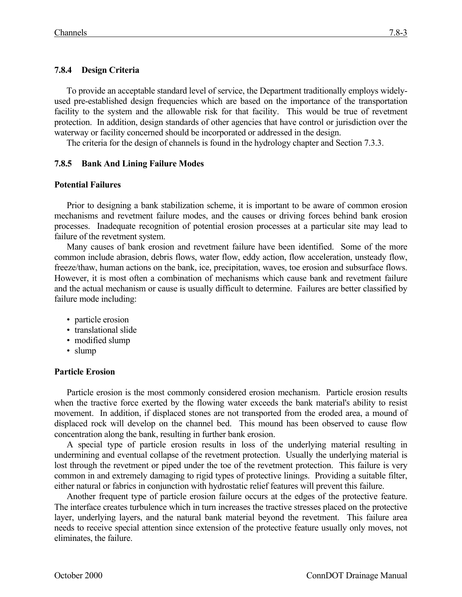# **7.8.4 Design Criteria**

To provide an acceptable standard level of service, the Department traditionally employs widelyused pre-established design frequencies which are based on the importance of the transportation facility to the system and the allowable risk for that facility. This would be true of revetment protection. In addition, design standards of other agencies that have control or jurisdiction over the waterway or facility concerned should be incorporated or addressed in the design.

The criteria for the design of channels is found in the hydrology chapter and Section 7.3.3.

### **7.8.5 Bank And Lining Failure Modes**

### **Potential Failures**

Prior to designing a bank stabilization scheme, it is important to be aware of common erosion mechanisms and revetment failure modes, and the causes or driving forces behind bank erosion processes. Inadequate recognition of potential erosion processes at a particular site may lead to failure of the revetment system.

Many causes of bank erosion and revetment failure have been identified. Some of the more common include abrasion, debris flows, water flow, eddy action, flow acceleration, unsteady flow, freeze/thaw, human actions on the bank, ice, precipitation, waves, toe erosion and subsurface flows. However, it is most often a combination of mechanisms which cause bank and revetment failure and the actual mechanism or cause is usually difficult to determine. Failures are better classified by failure mode including:

- particle erosion
- translational slide
- modified slump
- slump

### **Particle Erosion**

Particle erosion is the most commonly considered erosion mechanism. Particle erosion results when the tractive force exerted by the flowing water exceeds the bank material's ability to resist movement. In addition, if displaced stones are not transported from the eroded area, a mound of displaced rock will develop on the channel bed. This mound has been observed to cause flow concentration along the bank, resulting in further bank erosion.

A special type of particle erosion results in loss of the underlying material resulting in undermining and eventual collapse of the revetment protection. Usually the underlying material is lost through the revetment or piped under the toe of the revetment protection. This failure is very common in and extremely damaging to rigid types of protective linings. Providing a suitable filter, either natural or fabrics in conjunction with hydrostatic relief features will prevent this failure.

Another frequent type of particle erosion failure occurs at the edges of the protective feature. The interface creates turbulence which in turn increases the tractive stresses placed on the protective layer, underlying layers, and the natural bank material beyond the revetment. This failure area needs to receive special attention since extension of the protective feature usually only moves, not eliminates, the failure.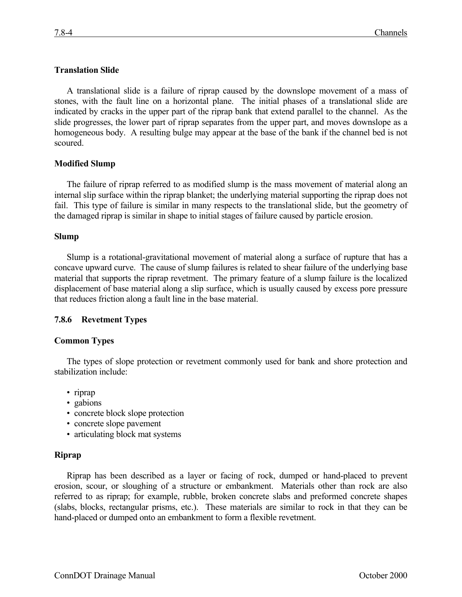### **Translation Slide**

A translational slide is a failure of riprap caused by the downslope movement of a mass of stones, with the fault line on a horizontal plane. The initial phases of a translational slide are indicated by cracks in the upper part of the riprap bank that extend parallel to the channel. As the slide progresses, the lower part of riprap separates from the upper part, and moves downslope as a homogeneous body. A resulting bulge may appear at the base of the bank if the channel bed is not scoured.

#### **Modified Slump**

The failure of riprap referred to as modified slump is the mass movement of material along an internal slip surface within the riprap blanket; the underlying material supporting the riprap does not fail. This type of failure is similar in many respects to the translational slide, but the geometry of the damaged riprap is similar in shape to initial stages of failure caused by particle erosion.

#### **Slump**

Slump is a rotational-gravitational movement of material along a surface of rupture that has a concave upward curve. The cause of slump failures is related to shear failure of the underlying base material that supports the riprap revetment. The primary feature of a slump failure is the localized displacement of base material along a slip surface, which is usually caused by excess pore pressure that reduces friction along a fault line in the base material.

### **7.8.6 Revetment Types**

#### **Common Types**

The types of slope protection or revetment commonly used for bank and shore protection and stabilization include:

- riprap
- gabions
- concrete block slope protection
- concrete slope pavement
- articulating block mat systems

#### **Riprap**

Riprap has been described as a layer or facing of rock, dumped or hand-placed to prevent erosion, scour, or sloughing of a structure or embankment. Materials other than rock are also referred to as riprap; for example, rubble, broken concrete slabs and preformed concrete shapes (slabs, blocks, rectangular prisms, etc.). These materials are similar to rock in that they can be hand-placed or dumped onto an embankment to form a flexible revetment.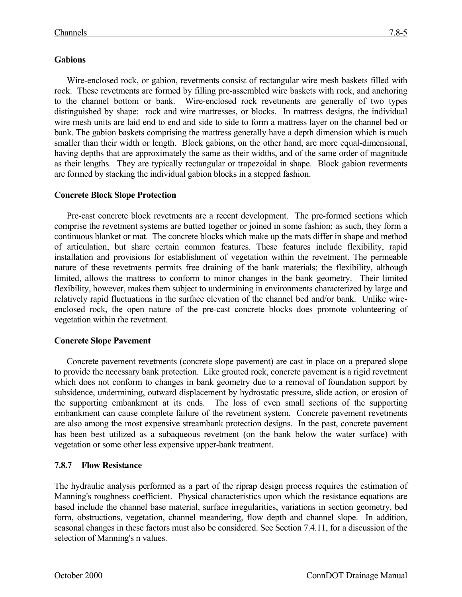rock. These revetments are formed by filling pre-assembled wire baskets with rock, and anchoring to the channel bottom or bank. Wire-enclosed rock revetments are generally of two types distinguished by shape: rock and wire mattresses, or blocks. In mattress designs, the individual wire mesh units are laid end to end and side to side to form a mattress layer on the channel bed or bank. The gabion baskets comprising the mattress generally have a depth dimension which is much smaller than their width or length. Block gabions, on the other hand, are more equal-dimensional, having depths that are approximately the same as their widths, and of the same order of magnitude as their lengths. They are typically rectangular or trapezoidal in shape. Block gabion revetments are formed by stacking the individual gabion blocks in a stepped fashion.

# **Concrete Block Slope Protection**

Pre-cast concrete block revetments are a recent development. The pre-formed sections which comprise the revetment systems are butted together or joined in some fashion; as such, they form a continuous blanket or mat. The concrete blocks which make up the mats differ in shape and method of articulation, but share certain common features. These features include flexibility, rapid installation and provisions for establishment of vegetation within the revetment. The permeable nature of these revetments permits free draining of the bank materials; the flexibility, although limited, allows the mattress to conform to minor changes in the bank geometry. Their limited flexibility, however, makes them subject to undermining in environments characterized by large and relatively rapid fluctuations in the surface elevation of the channel bed and/or bank. Unlike wireenclosed rock, the open nature of the pre-cast concrete blocks does promote volunteering of vegetation within the revetment.

### **Concrete Slope Pavement**

Concrete pavement revetments (concrete slope pavement) are cast in place on a prepared slope to provide the necessary bank protection. Like grouted rock, concrete pavement is a rigid revetment which does not conform to changes in bank geometry due to a removal of foundation support by subsidence, undermining, outward displacement by hydrostatic pressure, slide action, or erosion of the supporting embankment at its ends. The loss of even small sections of the supporting embankment can cause complete failure of the revetment system. Concrete pavement revetments are also among the most expensive streambank protection designs. In the past, concrete pavement has been best utilized as a subaqueous revetment (on the bank below the water surface) with vegetation or some other less expensive upper-bank treatment.

### **7.8.7 Flow Resistance**

The hydraulic analysis performed as a part of the riprap design process requires the estimation of Manning's roughness coefficient. Physical characteristics upon which the resistance equations are based include the channel base material, surface irregularities, variations in section geometry, bed form, obstructions, vegetation, channel meandering, flow depth and channel slope. In addition, seasonal changes in these factors must also be considered. See Section 7.4.11, for a discussion of the selection of Manning's n values.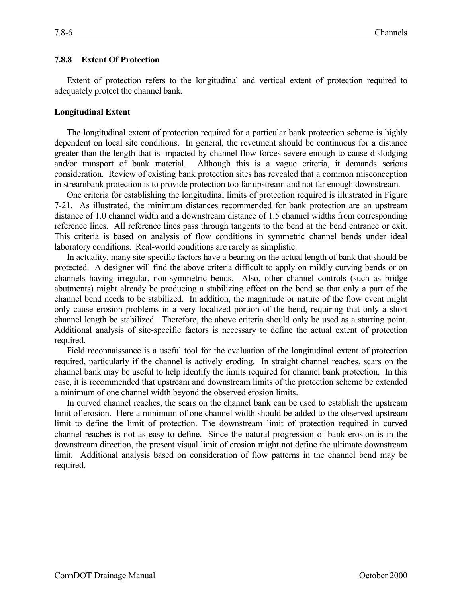#### **7.8.8 Extent Of Protection**

Extent of protection refers to the longitudinal and vertical extent of protection required to adequately protect the channel bank.

#### **Longitudinal Extent**

The longitudinal extent of protection required for a particular bank protection scheme is highly dependent on local site conditions. In general, the revetment should be continuous for a distance greater than the length that is impacted by channel-flow forces severe enough to cause dislodging and/or transport of bank material. Although this is a vague criteria, it demands serious consideration. Review of existing bank protection sites has revealed that a common misconception in streambank protection is to provide protection too far upstream and not far enough downstream.

One criteria for establishing the longitudinal limits of protection required is illustrated in Figure 7-21. As illustrated, the minimum distances recommended for bank protection are an upstream distance of 1.0 channel width and a downstream distance of 1.5 channel widths from corresponding reference lines. All reference lines pass through tangents to the bend at the bend entrance or exit. This criteria is based on analysis of flow conditions in symmetric channel bends under ideal laboratory conditions. Real-world conditions are rarely as simplistic.

In actuality, many site-specific factors have a bearing on the actual length of bank that should be protected. A designer will find the above criteria difficult to apply on mildly curving bends or on channels having irregular, non-symmetric bends. Also, other channel controls (such as bridge abutments) might already be producing a stabilizing effect on the bend so that only a part of the channel bend needs to be stabilized. In addition, the magnitude or nature of the flow event might only cause erosion problems in a very localized portion of the bend, requiring that only a short channel length be stabilized. Therefore, the above criteria should only be used as a starting point. Additional analysis of site-specific factors is necessary to define the actual extent of protection required.

Field reconnaissance is a useful tool for the evaluation of the longitudinal extent of protection required, particularly if the channel is actively eroding. In straight channel reaches, scars on the channel bank may be useful to help identify the limits required for channel bank protection. In this case, it is recommended that upstream and downstream limits of the protection scheme be extended a minimum of one channel width beyond the observed erosion limits.

In curved channel reaches, the scars on the channel bank can be used to establish the upstream limit of erosion. Here a minimum of one channel width should be added to the observed upstream limit to define the limit of protection. The downstream limit of protection required in curved channel reaches is not as easy to define. Since the natural progression of bank erosion is in the downstream direction, the present visual limit of erosion might not define the ultimate downstream limit. Additional analysis based on consideration of flow patterns in the channel bend may be required.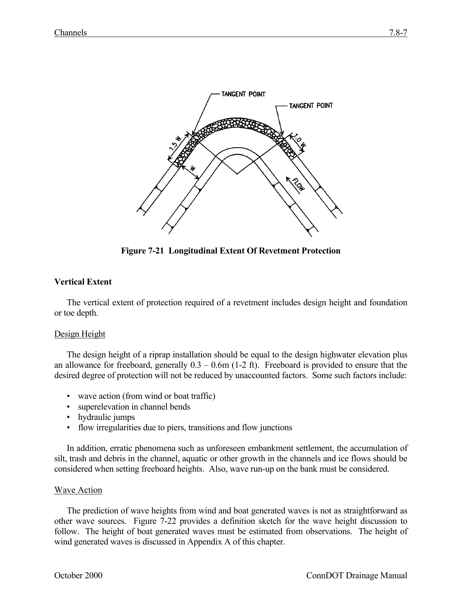

**Figure 7-21 Longitudinal Extent Of Revetment Protection**

# **Vertical Extent**

The vertical extent of protection required of a revetment includes design height and foundation or toe depth.

### Design Height

The design height of a riprap installation should be equal to the design highwater elevation plus an allowance for freeboard, generally  $0.3 - 0.6$ m (1-2 ft). Freeboard is provided to ensure that the desired degree of protection will not be reduced by unaccounted factors. Some such factors include:

- wave action (from wind or boat traffic)
- superelevation in channel bends
- hydraulic jumps
- flow irregularities due to piers, transitions and flow junctions

In addition, erratic phenomena such as unforeseen embankment settlement, the accumulation of silt, trash and debris in the channel, aquatic or other growth in the channels and ice flows should be considered when setting freeboard heights. Also, wave run-up on the bank must be considered.

### Wave Action

The prediction of wave heights from wind and boat generated waves is not as straightforward as other wave sources. Figure 7-22 provides a definition sketch for the wave height discussion to follow. The height of boat generated waves must be estimated from observations. The height of wind generated waves is discussed in Appendix A of this chapter.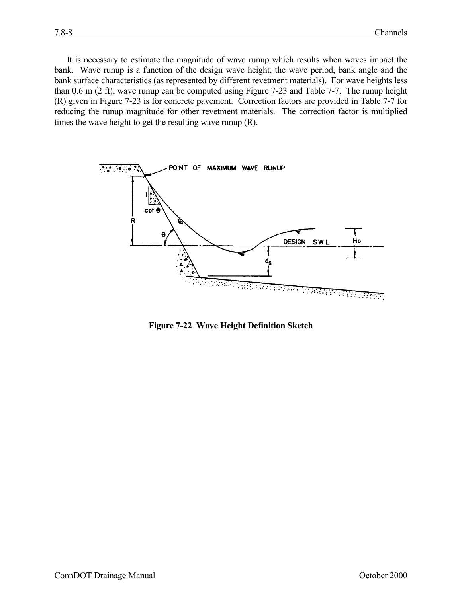It is necessary to estimate the magnitude of wave runup which results when waves impact the bank. Wave runup is a function of the design wave height, the wave period, bank angle and the bank surface characteristics (as represented by different revetment materials). For wave heights less than 0.6 m (2 ft), wave runup can be computed using Figure 7-23 and Table 7-7. The runup height (R) given in Figure 7-23 is for concrete pavement. Correction factors are provided in Table 7-7 for reducing the runup magnitude for other revetment materials. The correction factor is multiplied times the wave height to get the resulting wave runup (R).



**Figure 7-22 Wave Height Definition Sketch**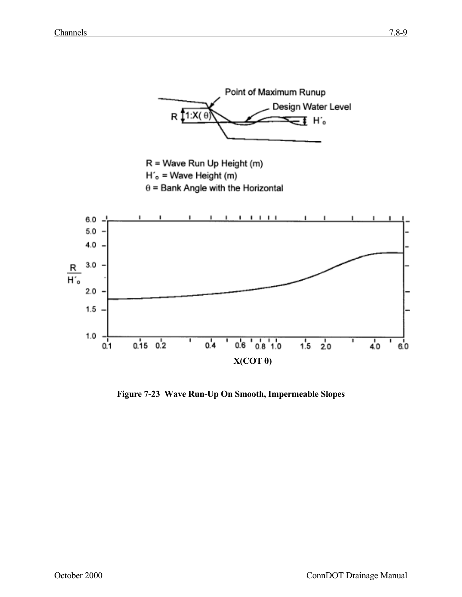

**Figure 7-23 Wave Run-Up On Smooth, Impermeable Slopes**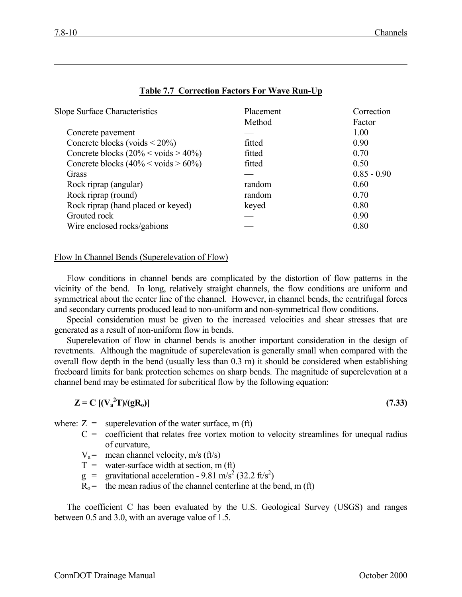| <b>Slope Surface Characteristics</b>             | <b>Placement</b> | Correction    |
|--------------------------------------------------|------------------|---------------|
|                                                  | Method           | Factor        |
| Concrete pavement                                |                  | 1.00          |
| Concrete blocks (voids $\leq$ 20%)               | fitted           | 0.90          |
| Concrete blocks $(20\% \le \text{voids} > 40\%)$ | fitted           | 0.70          |
| Concrete blocks $(40\% \le \text{voids} > 60\%)$ | fitted           | 0.50          |
| Grass                                            |                  | $0.85 - 0.90$ |
| Rock riprap (angular)                            | random           | 0.60          |
| Rock riprap (round)                              | random           | 0.70          |
| Rock riprap (hand placed or keyed)               | keyed            | 0.80          |
| Grouted rock                                     |                  | 0.90          |
| Wire enclosed rocks/gabions                      |                  | 0.80          |

### **Table 7.7 Correction Factors For Wave Run-Up**

#### Flow In Channel Bends (Superelevation of Flow)

Flow conditions in channel bends are complicated by the distortion of flow patterns in the vicinity of the bend. In long, relatively straight channels, the flow conditions are uniform and symmetrical about the center line of the channel. However, in channel bends, the centrifugal forces and secondary currents produced lead to non-uniform and non-symmetrical flow conditions.

Special consideration must be given to the increased velocities and shear stresses that are generated as a result of non-uniform flow in bends.

Superelevation of flow in channel bends is another important consideration in the design of revetments. Although the magnitude of superelevation is generally small when compared with the overall flow depth in the bend (usually less than 0.3 m) it should be considered when establishing freeboard limits for bank protection schemes on sharp bends. The magnitude of superelevation at a channel bend may be estimated for subcritical flow by the following equation:

$$
Z = C \left[ \left( V_a^2 \right) / (gR_0) \right] \tag{7.33}
$$

where:  $Z =$  superelevation of the water surface, m (ft)

- $C =$  coefficient that relates free vortex motion to velocity streamlines for unequal radius of curvature,
- $V_a$ = mean channel velocity, m/s (ft/s)
- $T =$  water-surface width at section, m (ft)
- $g =$  gravitational acceleration 9.81 m/s<sup>2</sup> (32.2 ft/s<sup>2</sup>)
- $R_0$  = the mean radius of the channel centerline at the bend, m (ft)

The coefficient C has been evaluated by the U.S. Geological Survey (USGS) and ranges between 0.5 and 3.0, with an average value of 1.5.